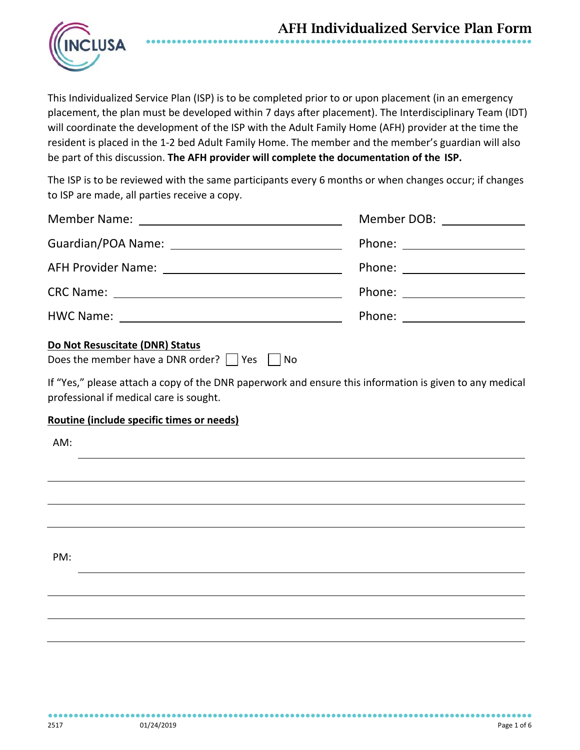

This Individualized Service Plan (ISP) is to be completed prior to or upon placement (in an emergency placement, the plan must be developed within 7 days after placement). The Interdisciplinary Team (IDT) will coordinate the development of the ISP with the Adult Family Home (AFH) provider at the time the resident is placed in the 1-2 bed Adult Family Home. The member and the member's guardian will also be part of this discussion. **The AFH provider will complete the documentation of the ISP.**

The ISP is to be reviewed with the same participants every 6 months or when changes occur; if changes to ISP are made, all parties receive a copy.

|                                                                                                                                                                                                      | Member DOB: _______________    |
|------------------------------------------------------------------------------------------------------------------------------------------------------------------------------------------------------|--------------------------------|
|                                                                                                                                                                                                      |                                |
|                                                                                                                                                                                                      |                                |
|                                                                                                                                                                                                      | Phone: _______________________ |
|                                                                                                                                                                                                      |                                |
| Do Not Resuscitate (DNR) Status<br>Does the member have a DNR order? $\vert$   Yes     No<br>If "Yes," please attach a copy of the DNR paperwork and ensure this information is given to any medical |                                |
| professional if medical care is sought.                                                                                                                                                              |                                |
| Routine (include specific times or needs)                                                                                                                                                            |                                |
| AM:                                                                                                                                                                                                  |                                |
|                                                                                                                                                                                                      |                                |
|                                                                                                                                                                                                      |                                |
|                                                                                                                                                                                                      |                                |
|                                                                                                                                                                                                      |                                |
| PM:                                                                                                                                                                                                  |                                |
|                                                                                                                                                                                                      |                                |
|                                                                                                                                                                                                      |                                |
|                                                                                                                                                                                                      |                                |
|                                                                                                                                                                                                      |                                |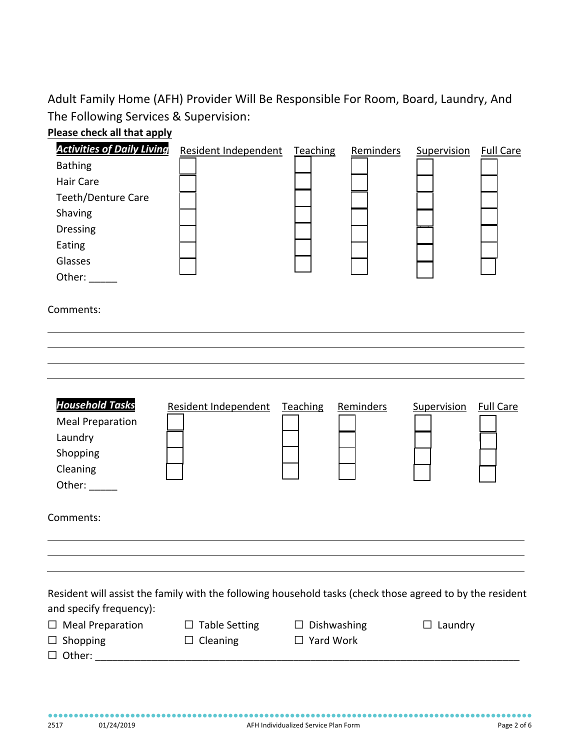Adult Family Home (AFH) Provider Will Be Responsible For Room, Board, Laundry, And The Following Services & Supervision:



| <b>Activities of Daily Living</b>                                                                         | Resident Independent | Teaching        | Reminders | Supervision    | <b>Full Care</b> |
|-----------------------------------------------------------------------------------------------------------|----------------------|-----------------|-----------|----------------|------------------|
| <b>Bathing</b>                                                                                            |                      |                 |           |                |                  |
| <b>Hair Care</b>                                                                                          |                      |                 |           |                |                  |
| <b>Teeth/Denture Care</b>                                                                                 |                      |                 |           |                |                  |
| Shaving                                                                                                   |                      |                 |           |                |                  |
| Dressing                                                                                                  |                      |                 |           |                |                  |
| Eating                                                                                                    |                      |                 |           |                |                  |
| Glasses                                                                                                   |                      |                 |           |                |                  |
| Other:                                                                                                    |                      |                 |           |                |                  |
| Comments:                                                                                                 |                      |                 |           |                |                  |
|                                                                                                           |                      |                 |           |                |                  |
|                                                                                                           |                      |                 |           |                |                  |
| <b>Household Tasks</b>                                                                                    | Resident Independent | <b>Teaching</b> | Reminders | Supervision    | <b>Full Care</b> |
| <b>Meal Preparation</b>                                                                                   |                      |                 |           |                |                  |
| Laundry                                                                                                   |                      |                 |           |                |                  |
| Shopping                                                                                                  |                      |                 |           |                |                  |
| Cleaning                                                                                                  |                      |                 |           |                |                  |
| Other: _____                                                                                              |                      |                 |           |                |                  |
| Comments:                                                                                                 |                      |                 |           |                |                  |
|                                                                                                           |                      |                 |           |                |                  |
| Resident will assist the family with the following household tasks (check those agreed to by the resident |                      |                 |           |                |                  |
| and specify frequency):                                                                                   |                      |                 |           |                |                  |
| $\Box$ Meal Preparation                                                                                   | $\Box$ Table Setting | Dishwashing     |           | $\Box$ Laundry |                  |
| $\Box$ Shopping                                                                                           | Cleaning<br>ப        | Yard Work<br>ப  |           |                |                  |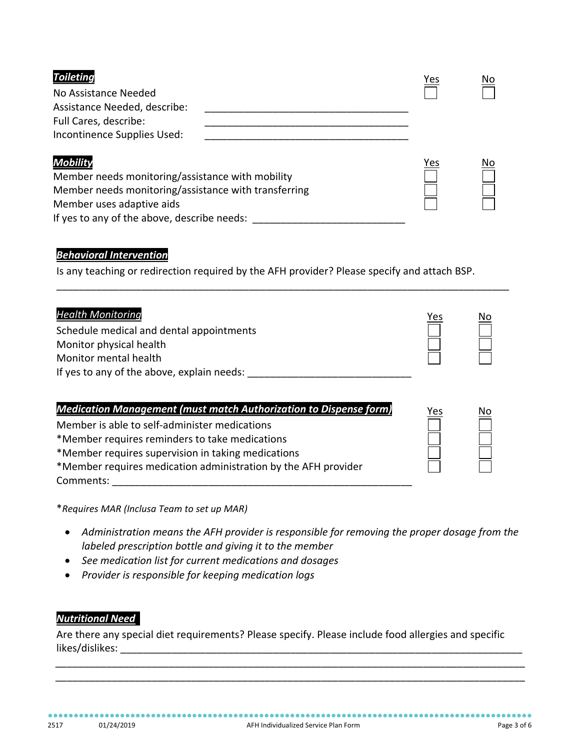| <b>Toileting</b>                                     | <u>Yes</u> | No  |
|------------------------------------------------------|------------|-----|
| No Assistance Needed                                 |            |     |
| Assistance Needed, describe:                         |            |     |
| Full Cares, describe:                                |            |     |
| Incontinence Supplies Used:                          |            |     |
| <b>Mobility</b>                                      | <u>Yes</u> | No. |
| Member needs monitoring/assistance with mobility     |            |     |
| Member needs monitoring/assistance with transferring |            |     |
| Member uses adaptive aids                            |            |     |
| If yes to any of the above, describe needs:          |            |     |

## *Behavioral Intervention*

Is any teaching or redirection required by the AFH provider? Please specify and attach BSP.

| <b>Health Monitoring</b>                   | Yes | <u>No</u> |
|--------------------------------------------|-----|-----------|
| Schedule medical and dental appointments   |     |           |
| Monitor physical health                    |     |           |
| Monitor mental health                      |     |           |
| If yes to any of the above, explain needs: |     |           |

\_\_\_\_\_\_\_\_\_\_\_\_\_\_\_\_\_\_\_\_\_\_\_\_\_\_\_\_\_\_\_\_\_\_\_\_\_\_\_\_\_\_\_\_\_\_\_\_\_\_\_\_\_\_\_\_\_\_\_\_\_\_\_\_\_\_\_\_\_\_\_\_\_\_\_\_\_\_\_\_

| <b>Medication Management (must match Authorization to Dispense form)</b> | Yes | No |
|--------------------------------------------------------------------------|-----|----|
| Member is able to self-administer medications                            |     |    |
| *Member requires reminders to take medications                           |     |    |
| *Member requires supervision in taking medications                       |     |    |
| *Member requires medication administration by the AFH provider           |     |    |
| Comments:                                                                |     |    |

\**Requires MAR (Inclusa Team to set up MAR)*

- *Administration means the AFH provider is responsible for removing the proper dosage from the labeled prescription bottle and giving it to the member*
- *See medication list for current medications and dosages*
- *Provider is responsible for keeping medication logs*

## **Nutritional Need**

Are there any special diet requirements? Please specify. Please include food allergies and specific likes/dislikes: \_\_\_\_\_\_\_\_\_\_\_\_\_\_\_\_\_\_\_\_\_\_\_\_\_\_\_\_\_\_\_\_\_\_\_\_\_\_\_\_\_\_\_\_\_\_\_\_\_\_\_\_\_\_\_\_\_\_\_\_\_\_\_\_\_\_\_\_\_\_\_

 \_\_\_\_\_\_\_\_\_\_\_\_\_\_\_\_\_\_\_\_\_\_\_\_\_\_\_\_\_\_\_\_\_\_\_\_\_\_\_\_\_\_\_\_\_\_\_\_\_\_\_\_\_\_\_\_\_\_\_\_\_\_\_\_\_\_\_\_\_\_\_\_\_\_\_\_\_\_\_\_\_\_\_ \_\_\_\_\_\_\_\_\_\_\_\_\_\_\_\_\_\_\_\_\_\_\_\_\_\_\_\_\_\_\_\_\_\_\_\_\_\_\_\_\_\_\_\_\_\_\_\_\_\_\_\_\_\_\_\_\_\_\_\_\_\_\_\_\_\_\_\_\_\_\_\_\_\_\_\_\_\_\_\_\_\_\_

●●●●●●●●●●●●●●●●●●●●●●●●●●●●●●●●●●●●●●●●●●●●●●●●●●●●●●●●●●●●●●●●●●●●●●●●●●●●●●●●●●●●●●●●●●●●●●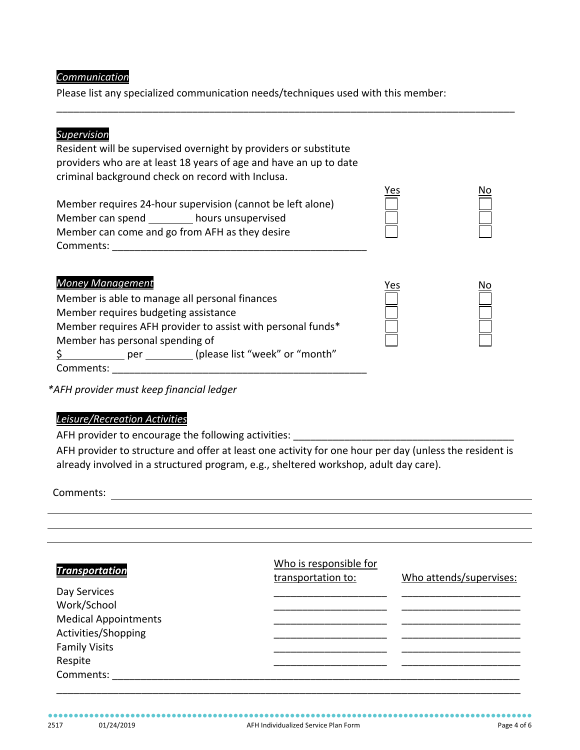### *Communication*

Please list any specialized communication needs/techniques used with this member:

\_\_\_\_\_\_\_\_\_\_\_\_\_\_\_\_\_\_\_\_\_\_\_\_\_\_\_\_\_\_\_\_\_\_\_\_\_\_\_\_\_\_\_\_\_\_\_\_\_\_\_\_\_\_\_\_\_\_\_\_\_\_\_\_\_\_\_\_\_\_\_\_\_\_\_\_\_\_\_\_\_

## *Supervision*

Resident will be supervised overnight by providers or substitute providers who are at least 18 years of age and have an up to date criminal background check on record with Inclusa.

Member requires 24-hour supervision (cannot be left alone) Member can spend \_\_\_\_\_\_\_\_\_\_ hours unsupervised Member can come and go from AFH as they desire Comments:

Yes No

### *Money Management* Yes No

| Member is able to manage all personal finances              |  |  |
|-------------------------------------------------------------|--|--|
| Member requires budgeting assistance                        |  |  |
| Member requires AFH provider to assist with personal funds* |  |  |
| Member has personal spending of                             |  |  |
| (please list "week" or "month"<br>per                       |  |  |
| Comments:                                                   |  |  |

*\*AFH provider must keep financial ledger*

# *Leisure/Recreation Activities*

AFH provider to encourage the following activities: \_\_\_\_\_\_\_\_\_\_

AFH provider to structure and offer at least one activity for one hour per day (unless the resident is already involved in a structured program, e.g., sheltered workshop, adult day care).

Comments:

| <b>Transportation</b>       | Who is responsible for<br>transportation to: | Who attends/supervises: |
|-----------------------------|----------------------------------------------|-------------------------|
| Day Services                |                                              |                         |
| Work/School                 |                                              |                         |
| <b>Medical Appointments</b> |                                              |                         |
| Activities/Shopping         |                                              |                         |
| <b>Family Visits</b>        |                                              |                         |
| Respite                     |                                              |                         |
| Comments:                   |                                              |                         |
|                             |                                              |                         |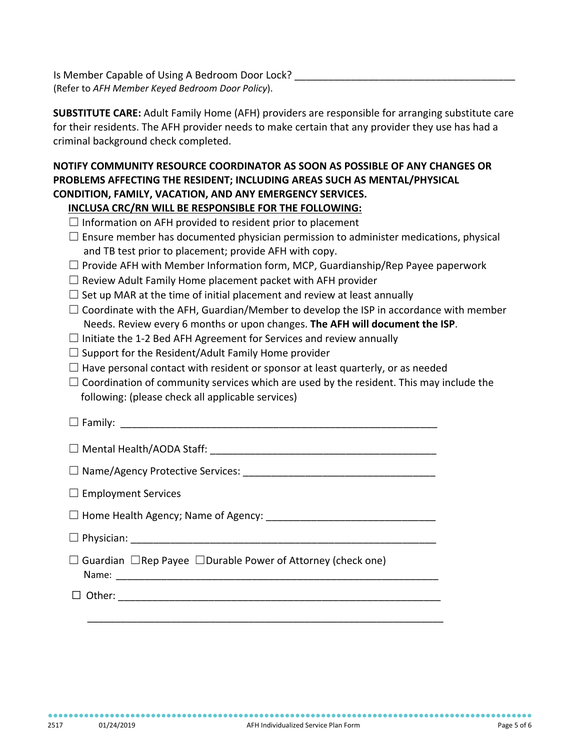Is Member Capable of Using A Bedroom Door Lock? (Refer to *AFH Member Keyed Bedroom Door Policy*).

**SUBSTITUTE CARE:** Adult Family Home (AFH) providers are responsible for arranging substitute care for their residents. The AFH provider needs to make certain that any provider they use has had a criminal background check completed.

# **NOTIFY COMMUNITY RESOURCE COORDINATOR AS SOON AS POSSIBLE OF ANY CHANGES OR PROBLEMS AFFECTING THE RESIDENT; INCLUDING AREAS SUCH AS MENTAL/PHYSICAL CONDITION, FAMILY, VACATION, AND ANY EMERGENCY SERVICES.**

# **INCLUSA CRC/RN WILL BE RESPONSIBLE FOR THE FOLLOWING:**

| $\Box$ Information on AFH provided to resident prior to placement |  |  |  |
|-------------------------------------------------------------------|--|--|--|
|-------------------------------------------------------------------|--|--|--|

- $\square$  Ensure member has documented physician permission to administer medications, physical and TB test prior to placement; provide AFH with copy.
- $\Box$  Provide AFH with Member Information form, MCP, Guardianship/Rep Payee paperwork
- $\Box$  Review Adult Family Home placement packet with AFH provider
- $\Box$  Set up MAR at the time of initial placement and review at least annually
- $\Box$  Coordinate with the AFH, Guardian/Member to develop the ISP in accordance with member Needs. Review every 6 months or upon changes. **The AFH will document the ISP**.
- $\Box$  Initiate the 1-2 Bed AFH Agreement for Services and review annually
- $\Box$  Support for the Resident/Adult Family Home provider
- $\Box$  Have personal contact with resident or sponsor at least quarterly, or as needed
- $\Box$  Coordination of community services which are used by the resident. This may include the following: (please check all applicable services)

| $\Box$ Employment Services                                                    |
|-------------------------------------------------------------------------------|
|                                                                               |
|                                                                               |
| $\Box$ Guardian $\Box$ Rep Payee $\Box$ Durable Power of Attorney (check one) |
| Other:                                                                        |

\_\_\_\_\_\_\_\_\_\_\_\_\_\_\_\_\_\_\_\_\_\_\_\_\_\_\_\_\_\_\_\_\_\_\_\_\_\_\_\_\_\_\_\_\_\_\_\_\_\_\_\_\_\_\_\_\_\_\_\_\_\_\_\_